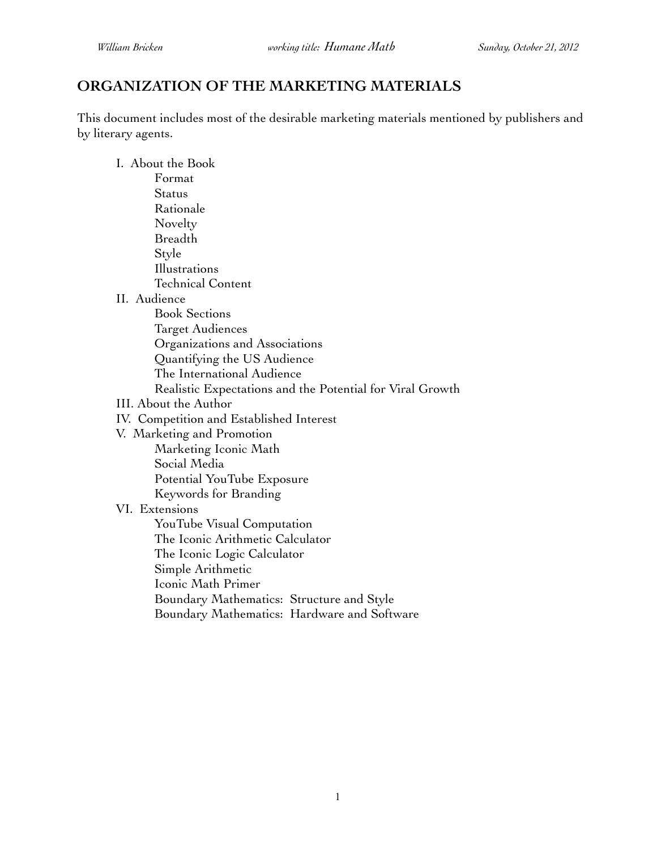# **ORGANIZATION OF THE MARKETING MATERIALS**

This document includes most of the desirable marketing materials mentioned by publishers and by literary agents.

I. About the Book

| Format                                                    |
|-----------------------------------------------------------|
| Status                                                    |
| Rationale                                                 |
| Novelty                                                   |
| <b>Breadth</b>                                            |
| Style                                                     |
| Illustrations                                             |
| <b>Technical Content</b>                                  |
| II. Audience                                              |
| <b>Book Sections</b>                                      |
| <b>Target Audiences</b>                                   |
| Organizations and Associations                            |
| Quantifying the US Audience                               |
| The International Audience                                |
| Realistic Expectations and the Potential for Viral Growth |
| III. About the Author                                     |
| IV. Competition and Established Interest                  |
| V. Marketing and Promotion                                |
| Marketing Iconic Math                                     |
| Social Media                                              |
| Potential YouTube Exposure                                |
| Keywords for Branding                                     |
| VI. Extensions                                            |
| YouTube Visual Computation                                |
| The Iconic Arithmetic Calculator                          |
| The Iconic Logic Calculator                               |
| Simple Arithmetic                                         |
| Iconic Math Primer                                        |
| Boundary Mathematics: Structure and Style                 |
| Boundary Mathematics: Hardware and Software               |
|                                                           |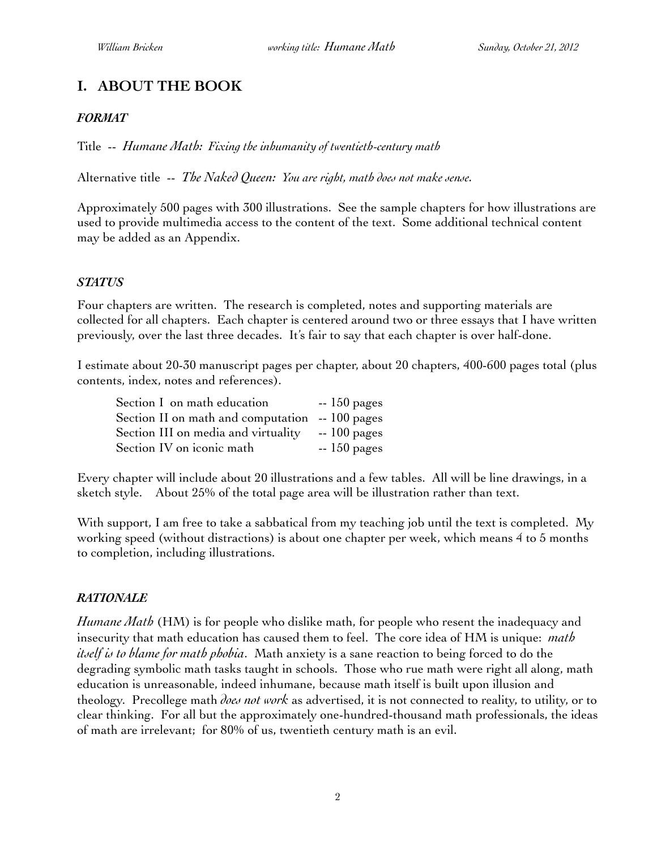# **I. ABOUT THE BOOK**

#### *FORMAT*

Title -- *Humane Math: Fixing the inhumanity of twentieth-century math*

Alternative title -- *The Naked Queen: You are right, math does not make sense.*

Approximately 500 pages with 300 illustrations. See the sample chapters for how illustrations are used to provide multimedia access to the content of the text. Some additional technical content may be added as an Appendix.

#### *STATUS*

Four chapters are written. The research is completed, notes and supporting materials are collected for all chapters. Each chapter is centered around two or three essays that I have written previously, over the last three decades. It's fair to say that each chapter is over half-done.

I estimate about 20-30 manuscript pages per chapter, about 20 chapters, 400-600 pages total (plus contents, index, notes and references).

| Section I on math education                     | $-150$ pages |
|-------------------------------------------------|--------------|
| Section II on math and computation $-100$ pages |              |
| Section III on media and virtuality             | $-100$ pages |
| Section IV on iconic math                       | $-150$ pages |

Every chapter will include about 20 illustrations and a few tables. All will be line drawings, in a sketch style. About 25% of the total page area will be illustration rather than text.

With support, I am free to take a sabbatical from my teaching job until the text is completed. My working speed (without distractions) is about one chapter per week, which means 4 to 5 months to completion, including illustrations.

#### *RATIONALE*

*Humane Math* (HM) is for people who dislike math, for people who resent the inadequacy and insecurity that math education has caused them to feel. The core idea of HM is unique: *math itself is to blame for math phobia*. Math anxiety is a sane reaction to being forced to do the degrading symbolic math tasks taught in schools. Those who rue math were right all along, math education is unreasonable, indeed inhumane, because math itself is built upon illusion and theology. Precollege math *does not work* as advertised, it is not connected to reality, to utility, or to clear thinking. For all but the approximately one-hundred-thousand math professionals, the ideas of math are irrelevant; for 80% of us, twentieth century math is an evil.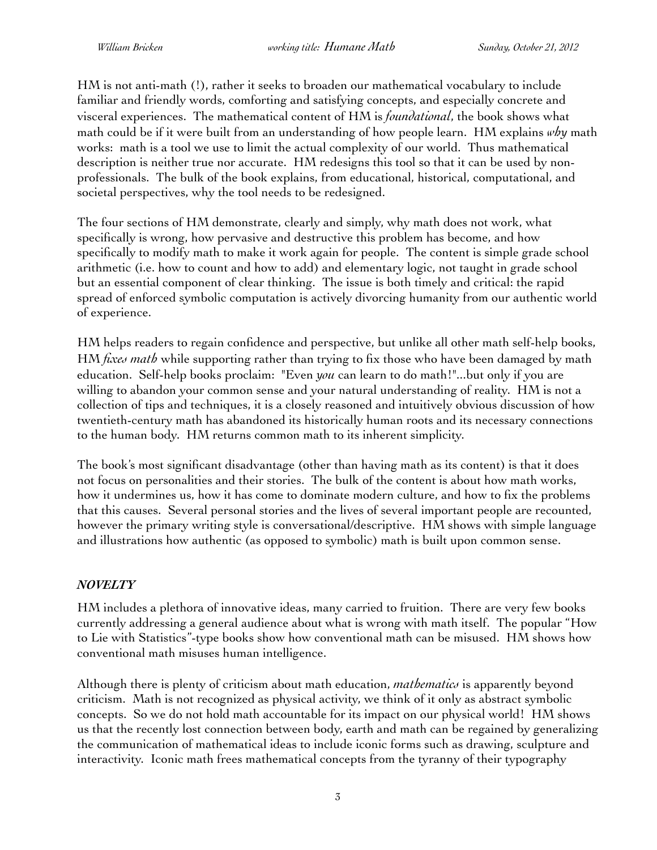HM is not anti-math (!), rather it seeks to broaden our mathematical vocabulary to include familiar and friendly words, comforting and satisfying concepts, and especially concrete and visceral experiences. The mathematical content of HM is *foundational*, the book shows what math could be if it were built from an understanding of how people learn. HM explains *why* math works: math is a tool we use to limit the actual complexity of our world. Thus mathematical description is neither true nor accurate. HM redesigns this tool so that it can be used by nonprofessionals. The bulk of the book explains, from educational, historical, computational, and societal perspectives, why the tool needs to be redesigned.

The four sections of HM demonstrate, clearly and simply, why math does not work, what specifically is wrong, how pervasive and destructive this problem has become, and how specifically to modify math to make it work again for people. The content is simple grade school arithmetic (i.e. how to count and how to add) and elementary logic, not taught in grade school but an essential component of clear thinking. The issue is both timely and critical: the rapid spread of enforced symbolic computation is actively divorcing humanity from our authentic world of experience.

HM helps readers to regain confidence and perspective, but unlike all other math self-help books, HM *fixes math* while supporting rather than trying to fix those who have been damaged by math education. Self-help books proclaim: "Even *you* can learn to do math!"...but only if you are willing to abandon your common sense and your natural understanding of reality. HM is not a collection of tips and techniques, it is a closely reasoned and intuitively obvious discussion of how twentieth-century math has abandoned its historically human roots and its necessary connections to the human body. HM returns common math to its inherent simplicity.

The book's most significant disadvantage (other than having math as its content) is that it does not focus on personalities and their stories. The bulk of the content is about how math works, how it undermines us, how it has come to dominate modern culture, and how to fix the problems that this causes. Several personal stories and the lives of several important people are recounted, however the primary writing style is conversational/descriptive. HM shows with simple language and illustrations how authentic (as opposed to symbolic) math is built upon common sense.

### *NOVELTY*

HM includes a plethora of innovative ideas, many carried to fruition. There are very few books currently addressing a general audience about what is wrong with math itself. The popular "How to Lie with Statistics"-type books show how conventional math can be misused. HM shows how conventional math misuses human intelligence.

Although there is plenty of criticism about math education, *mathematics* is apparently beyond criticism. Math is not recognized as physical activity, we think of it only as abstract symbolic concepts. So we do not hold math accountable for its impact on our physical world! HM shows us that the recently lost connection between body, earth and math can be regained by generalizing the communication of mathematical ideas to include iconic forms such as drawing, sculpture and interactivity. Iconic math frees mathematical concepts from the tyranny of their typography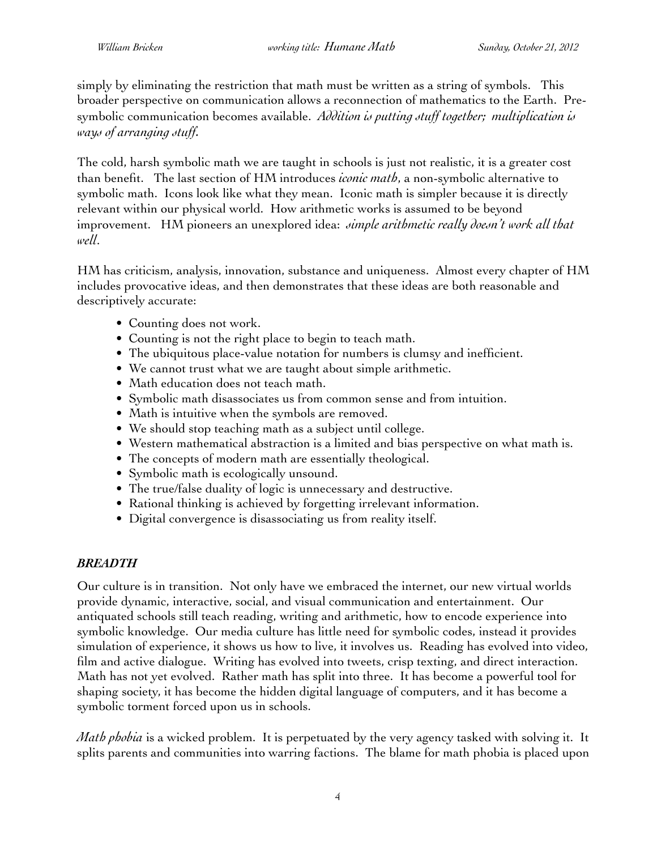simply by eliminating the restriction that math must be written as a string of symbols. This broader perspective on communication allows a reconnection of mathematics to the Earth. Presymbolic communication becomes available. *Addition is putting stuff together; multiplication is ways of arranging stuff.*

The cold, harsh symbolic math we are taught in schools is just not realistic, it is a greater cost than benefit. The last section of HM introduces *iconic math*, a non-symbolic alternative to symbolic math. Icons look like what they mean. Iconic math is simpler because it is directly relevant within our physical world. How arithmetic works is assumed to be beyond improvement. HM pioneers an unexplored idea: *simple arithmetic really doesn't work all that well*.

HM has criticism, analysis, innovation, substance and uniqueness. Almost every chapter of HM includes provocative ideas, and then demonstrates that these ideas are both reasonable and descriptively accurate:

- Counting does not work.
- Counting is not the right place to begin to teach math.
- The ubiquitous place-value notation for numbers is clumsy and inefficient.
- We cannot trust what we are taught about simple arithmetic.
- Math education does not teach math.
- Symbolic math disassociates us from common sense and from intuition.
- Math is intuitive when the symbols are removed.
- We should stop teaching math as a subject until college.
- Western mathematical abstraction is a limited and bias perspective on what math is.
- The concepts of modern math are essentially theological.
- Symbolic math is ecologically unsound.
- The true/false duality of logic is unnecessary and destructive.
- Rational thinking is achieved by forgetting irrelevant information.
- Digital convergence is disassociating us from reality itself.

### *BREADTH*

Our culture is in transition. Not only have we embraced the internet, our new virtual worlds provide dynamic, interactive, social, and visual communication and entertainment. Our antiquated schools still teach reading, writing and arithmetic, how to encode experience into symbolic knowledge. Our media culture has little need for symbolic codes, instead it provides simulation of experience, it shows us how to live, it involves us. Reading has evolved into video, film and active dialogue. Writing has evolved into tweets, crisp texting, and direct interaction. Math has not yet evolved. Rather math has split into three. It has become a powerful tool for shaping society, it has become the hidden digital language of computers, and it has become a symbolic torment forced upon us in schools.

*Math phobia* is a wicked problem. It is perpetuated by the very agency tasked with solving it. It splits parents and communities into warring factions. The blame for math phobia is placed upon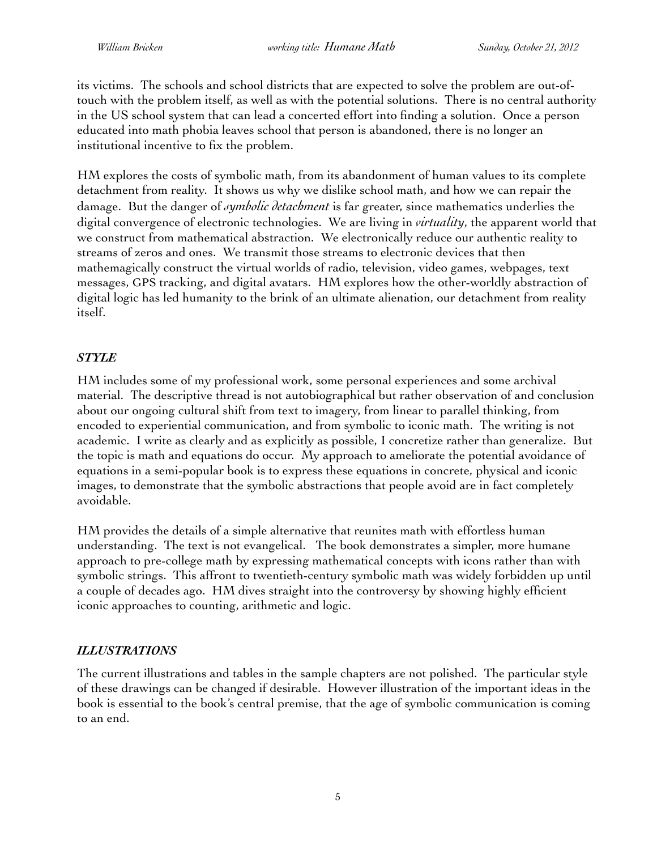its victims. The schools and school districts that are expected to solve the problem are out-oftouch with the problem itself, as well as with the potential solutions. There is no central authority in the US school system that can lead a concerted effort into finding a solution. Once a person educated into math phobia leaves school that person is abandoned, there is no longer an institutional incentive to fix the problem.

HM explores the costs of symbolic math, from its abandonment of human values to its complete detachment from reality. It shows us why we dislike school math, and how we can repair the damage. But the danger of *symbolic detachment* is far greater, since mathematics underlies the digital convergence of electronic technologies. We are living in *virtuality*, the apparent world that we construct from mathematical abstraction. We electronically reduce our authentic reality to streams of zeros and ones. We transmit those streams to electronic devices that then mathemagically construct the virtual worlds of radio, television, video games, webpages, text messages, GPS tracking, and digital avatars. HM explores how the other-worldly abstraction of digital logic has led humanity to the brink of an ultimate alienation, our detachment from reality itself.

### *STYLE*

HM includes some of my professional work, some personal experiences and some archival material. The descriptive thread is not autobiographical but rather observation of and conclusion about our ongoing cultural shift from text to imagery, from linear to parallel thinking, from encoded to experiential communication, and from symbolic to iconic math. The writing is not academic. I write as clearly and as explicitly as possible, I concretize rather than generalize. But the topic is math and equations do occur. My approach to ameliorate the potential avoidance of equations in a semi-popular book is to express these equations in concrete, physical and iconic images, to demonstrate that the symbolic abstractions that people avoid are in fact completely avoidable.

HM provides the details of a simple alternative that reunites math with effortless human understanding. The text is not evangelical. The book demonstrates a simpler, more humane approach to pre-college math by expressing mathematical concepts with icons rather than with symbolic strings. This affront to twentieth-century symbolic math was widely forbidden up until a couple of decades ago. HM dives straight into the controversy by showing highly efficient iconic approaches to counting, arithmetic and logic.

# *ILLUSTRATIONS*

The current illustrations and tables in the sample chapters are not polished. The particular style of these drawings can be changed if desirable. However illustration of the important ideas in the book is essential to the book's central premise, that the age of symbolic communication is coming to an end.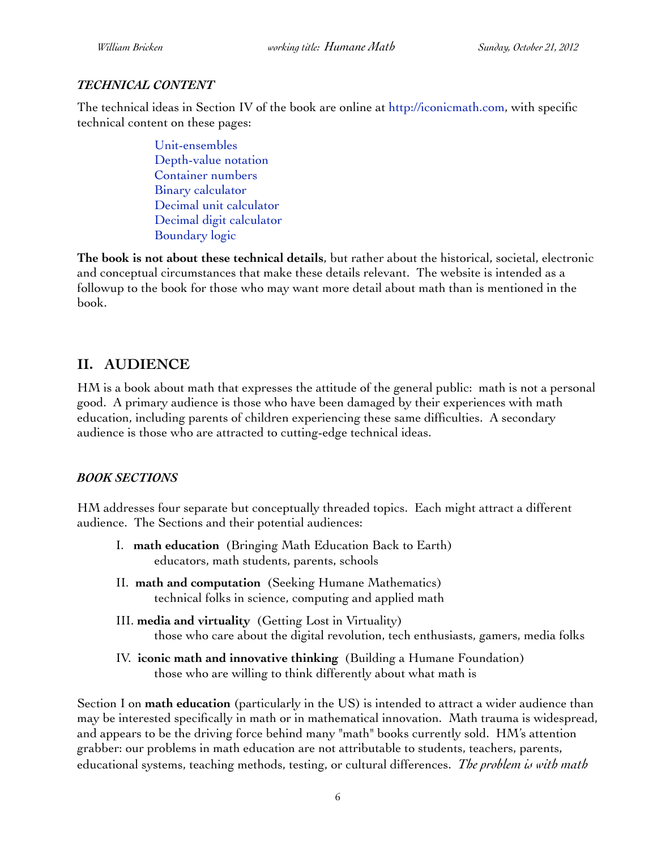### *TECHNICAL CONTENT*

The technical ideas in Section IV of the book are online at [http://iconicmath.com,](http://iconicmath.com) with specific technical content on these pages:

> [Unit-ensembles](http://iconicmath.com/arithmetic/units) [Depth-value notation](http://iconicmath.com/arithmetic/depthvalue) [Container numbers](http://iconicmath.com/arithmetic/containers) [Binary calculator](http://iconicmath.com/calculator/binary) [Decimal unit calculator](http://iconicmath.com/calculator/decimalunits) [Decimal digit calculator](http://iconicmath.com/calculator/digit) [Boundary logic](http://iconicmath.com/logic/boundary)

**The book is not about these technical details**, but rather about the historical, societal, electronic and conceptual circumstances that make these details relevant. The website is intended as a followup to the book for those who may want more detail about math than is mentioned in the book.

# **II. AUDIENCE**

HM is a book about math that expresses the attitude of the general public: math is not a personal good. A primary audience is those who have been damaged by their experiences with math education, including parents of children experiencing these same difficulties. A secondary audience is those who are attracted to cutting-edge technical ideas.

### *BOOK SECTIONS*

HM addresses four separate but conceptually threaded topics. Each might attract a different audience. The Sections and their potential audiences:

- I. **math education** (Bringing Math Education Back to Earth) educators, math students, parents, schools
- II. **math and computation** (Seeking Humane Mathematics) technical folks in science, computing and applied math
- III. **media and virtuality** (Getting Lost in Virtuality) those who care about the digital revolution, tech enthusiasts, gamers, media folks
- IV. **iconic math and innovative thinking** (Building a Humane Foundation) those who are willing to think differently about what math is

Section I on **math education** (particularly in the US) is intended to attract a wider audience than may be interested specifically in math or in mathematical innovation. Math trauma is widespread, and appears to be the driving force behind many "math" books currently sold. HM's attention grabber: our problems in math education are not attributable to students, teachers, parents, educational systems, teaching methods, testing, or cultural differences. *The problem is with math*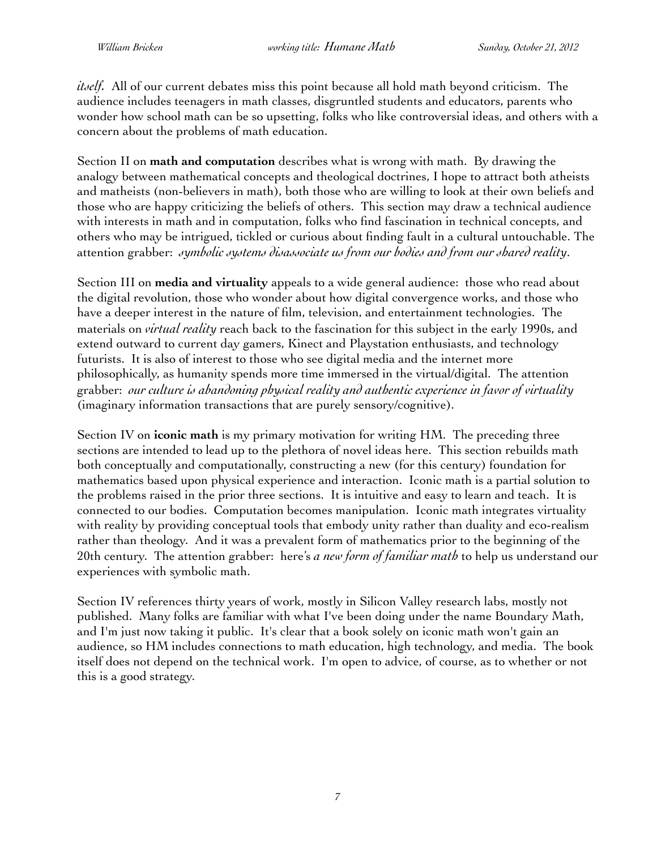*itself.* All of our current debates miss this point because all hold math beyond criticism. The audience includes teenagers in math classes, disgruntled students and educators, parents who wonder how school math can be so upsetting, folks who like controversial ideas, and others with a concern about the problems of math education.

Section II on **math and computation** describes what is wrong with math. By drawing the analogy between mathematical concepts and theological doctrines, I hope to attract both atheists and matheists (non-believers in math), both those who are willing to look at their own beliefs and those who are happy criticizing the beliefs of others. This section may draw a technical audience with interests in math and in computation, folks who find fascination in technical concepts, and others who may be intrigued, tickled or curious about finding fault in a cultural untouchable. The attention grabber: *symbolic systems disassociate us from our bodies and from our shared reality*.

Section III on **media and virtuality** appeals to a wide general audience: those who read about the digital revolution, those who wonder about how digital convergence works, and those who have a deeper interest in the nature of film, television, and entertainment technologies. The materials on *virtual reality* reach back to the fascination for this subject in the early 1990s, and extend outward to current day gamers, Kinect and Playstation enthusiasts, and technology futurists. It is also of interest to those who see digital media and the internet more philosophically, as humanity spends more time immersed in the virtual/digital. The attention grabber: *our culture is abandoning physical reality and authentic experience in favor of virtuality* (imaginary information transactions that are purely sensory/cognitive).

Section IV on **iconic math** is my primary motivation for writing HM. The preceding three sections are intended to lead up to the plethora of novel ideas here. This section rebuilds math both conceptually and computationally, constructing a new (for this century) foundation for mathematics based upon physical experience and interaction. Iconic math is a partial solution to the problems raised in the prior three sections. It is intuitive and easy to learn and teach. It is connected to our bodies. Computation becomes manipulation. Iconic math integrates virtuality with reality by providing conceptual tools that embody unity rather than duality and eco-realism rather than theology. And it was a prevalent form of mathematics prior to the beginning of the 20th century. The attention grabber: here's *a new form of familiar math* to help us understand our experiences with symbolic math.

Section IV references thirty years of work, mostly in Silicon Valley research labs, mostly not published. Many folks are familiar with what I've been doing under the name Boundary Math, and I'm just now taking it public. It's clear that a book solely on iconic math won't gain an audience, so HM includes connections to math education, high technology, and media. The book itself does not depend on the technical work. I'm open to advice, of course, as to whether or not this is a good strategy.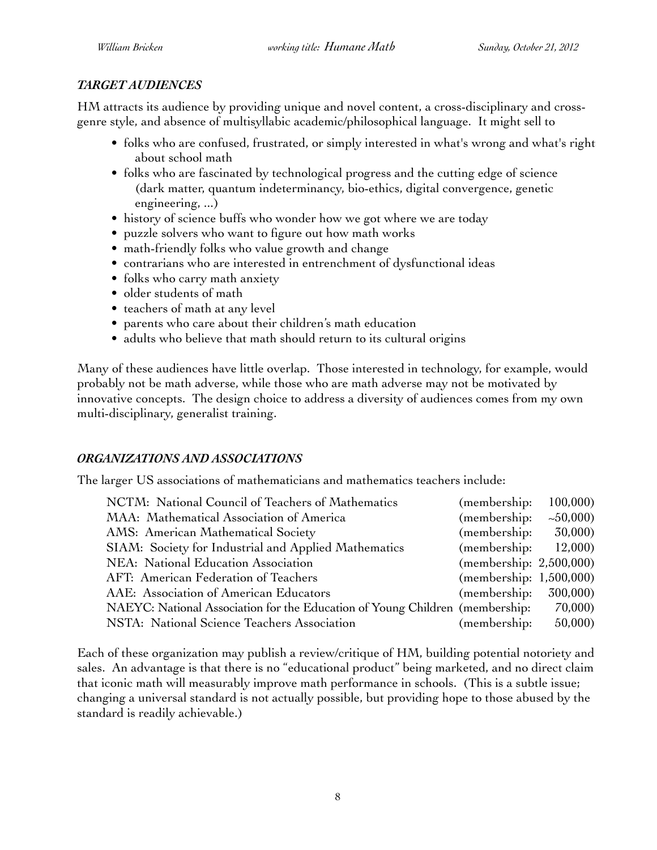### *TARGET AUDIENCES*

HM attracts its audience by providing unique and novel content, a cross-disciplinary and crossgenre style, and absence of multisyllabic academic/philosophical language. It might sell to

- folks who are confused, frustrated, or simply interested in what's wrong and what's right about school math
- folks who are fascinated by technological progress and the cutting edge of science (dark matter, quantum indeterminancy, bio-ethics, digital convergence, genetic engineering, ...)
- history of science buffs who wonder how we got where we are today
- puzzle solvers who want to figure out how math works
- math-friendly folks who value growth and change
- contrarians who are interested in entrenchment of dysfunctional ideas
- folks who carry math anxiety
- older students of math
- teachers of math at any level
- parents who care about their children's math education
- adults who believe that math should return to its cultural origins

Many of these audiences have little overlap. Those interested in technology, for example, would probably not be math adverse, while those who are math adverse may not be motivated by innovative concepts. The design choice to address a diversity of audiences comes from my own multi-disciplinary, generalist training.

### *ORGANIZATIONS AND ASSOCIATIONS*

The larger US associations of mathematicians and mathematics teachers include:

| NCTM: National Council of Teachers of Mathematics                            | (membership:            | 100,000 |
|------------------------------------------------------------------------------|-------------------------|---------|
| MAA: Mathematical Association of America                                     | (membership:            | ~10000  |
| AMS: American Mathematical Society                                           | (membership:            | 30,000  |
| SIAM: Society for Industrial and Applied Mathematics                         | (membership:            | 12,000  |
| NEA: National Education Association                                          | (membership: 2,500,000) |         |
| AFT: American Federation of Teachers                                         | (membership: 1,500,000) |         |
| AAE: Association of American Educators                                       | (membership: 300,000)   |         |
| NAEYC: National Association for the Education of Young Children (membership: |                         | 70,000) |
| NSTA: National Science Teachers Association                                  | (membership:            | 50,000  |
|                                                                              |                         |         |

Each of these organization may publish a review/critique of HM, building potential notoriety and sales. An advantage is that there is no "educational product" being marketed, and no direct claim that iconic math will measurably improve math performance in schools. (This is a subtle issue; changing a universal standard is not actually possible, but providing hope to those abused by the standard is readily achievable.)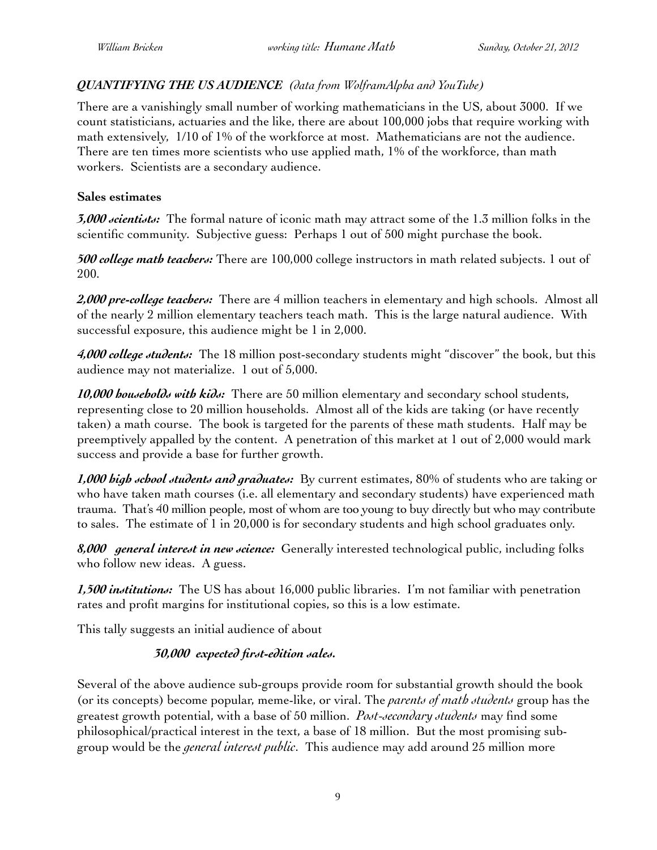### *QUANTIFYING THE US AUDIENCE (data from WolframAlpha and YouTube)*

There are a vanishingly small number of working mathematicians in the US, about 3000. If we count statisticians, actuaries and the like, there are about 100,000 jobs that require working with math extensively, 1/10 of 1% of the workforce at most. Mathematicians are not the audience. There are ten times more scientists who use applied math, 1% of the workforce, than math workers. Scientists are a secondary audience.

#### **Sales estimates**

*3,000 scientists:* The formal nature of iconic math may attract some of the 1.3 million folks in the scientific community. Subjective guess: Perhaps 1 out of 500 might purchase the book.

*500 college math teachers:* There are 100,000 college instructors in math related subjects. 1 out of 200.

*2,000 pre-college teachers:* There are 4 million teachers in elementary and high schools. Almost all of the nearly 2 million elementary teachers teach math. This is the large natural audience. With successful exposure, this audience might be 1 in 2,000.

*4,000 college students:* The 18 million post-secondary students might "discover" the book, but this audience may not materialize. 1 out of 5,000.

*10,000 households with kids:* There are 50 million elementary and secondary school students, representing close to 20 million households. Almost all of the kids are taking (or have recently taken) a math course. The book is targeted for the parents of these math students. Half may be preemptively appalled by the content. A penetration of this market at 1 out of 2,000 would mark success and provide a base for further growth.

*1,000 high school students and graduates:* By current estimates, 80% of students who are taking or who have taken math courses (i.e. all elementary and secondary students) have experienced math trauma. That's 40 million people, most of whom are too young to buy directly but who may contribute to sales. The estimate of 1 in 20,000 is for secondary students and high school graduates only.

*8,000 general interest in new science:* Generally interested technological public, including folks who follow new ideas. A guess.

*1,500 institutions:* The US has about 16,000 public libraries. I'm not familiar with penetration rates and profit margins for institutional copies, so this is a low estimate.

This tally suggests an initial audience of about

### *30,000 expected first-edition sales.*

Several of the above audience sub-groups provide room for substantial growth should the book (or its concepts) become popular, meme-like, or viral. The *parents of math students* group has the greatest growth potential, with a base of 50 million. *Post-secondary students* may find some philosophical/practical interest in the text, a base of 18 million. But the most promising subgroup would be the *general interest public*. This audience may add around 25 million more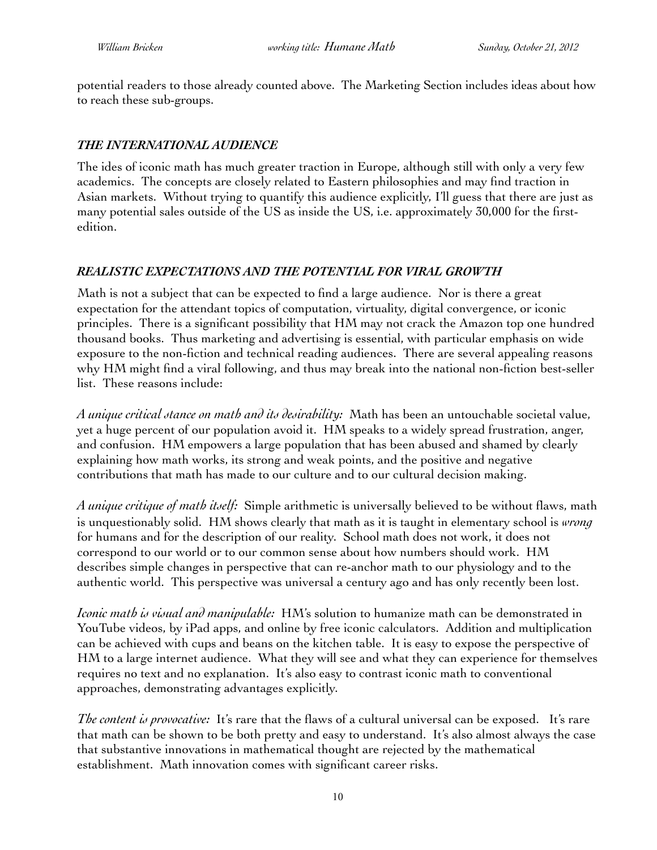potential readers to those already counted above. The Marketing Section includes ideas about how to reach these sub-groups.

### *THE INTERNATIONAL AUDIENCE*

The ides of iconic math has much greater traction in Europe, although still with only a very few academics. The concepts are closely related to Eastern philosophies and may find traction in Asian markets. Without trying to quantify this audience explicitly, I'll guess that there are just as many potential sales outside of the US as inside the US, i.e. approximately 30,000 for the firstedition.

### *REALISTIC EXPECTATIONS AND THE POTENTIAL FOR VIRAL GROWTH*

Math is not a subject that can be expected to find a large audience. Nor is there a great expectation for the attendant topics of computation, virtuality, digital convergence, or iconic principles. There is a significant possibility that HM may not crack the Amazon top one hundred thousand books. Thus marketing and advertising is essential, with particular emphasis on wide exposure to the non-fiction and technical reading audiences. There are several appealing reasons why HM might find a viral following, and thus may break into the national non-fiction best-seller list. These reasons include:

*A unique critical stance on math and its desirability:* Math has been an untouchable societal value, yet a huge percent of our population avoid it. HM speaks to a widely spread frustration, anger, and confusion. HM empowers a large population that has been abused and shamed by clearly explaining how math works, its strong and weak points, and the positive and negative contributions that math has made to our culture and to our cultural decision making.

*A unique critique of math itself:* Simple arithmetic is universally believed to be without flaws, math is unquestionably solid. HM shows clearly that math as it is taught in elementary school is *wrong* for humans and for the description of our reality. School math does not work, it does not correspond to our world or to our common sense about how numbers should work. HM describes simple changes in perspective that can re-anchor math to our physiology and to the authentic world. This perspective was universal a century ago and has only recently been lost.

*Iconic math is visual and manipulable:* HM's solution to humanize math can be demonstrated in YouTube videos, by iPad apps, and online by free iconic calculators. Addition and multiplication can be achieved with cups and beans on the kitchen table. It is easy to expose the perspective of HM to a large internet audience. What they will see and what they can experience for themselves requires no text and no explanation. It's also easy to contrast iconic math to conventional approaches, demonstrating advantages explicitly.

*The content is provocative:* It's rare that the flaws of a cultural universal can be exposed. It's rare that math can be shown to be both pretty and easy to understand. It's also almost always the case that substantive innovations in mathematical thought are rejected by the mathematical establishment. Math innovation comes with significant career risks.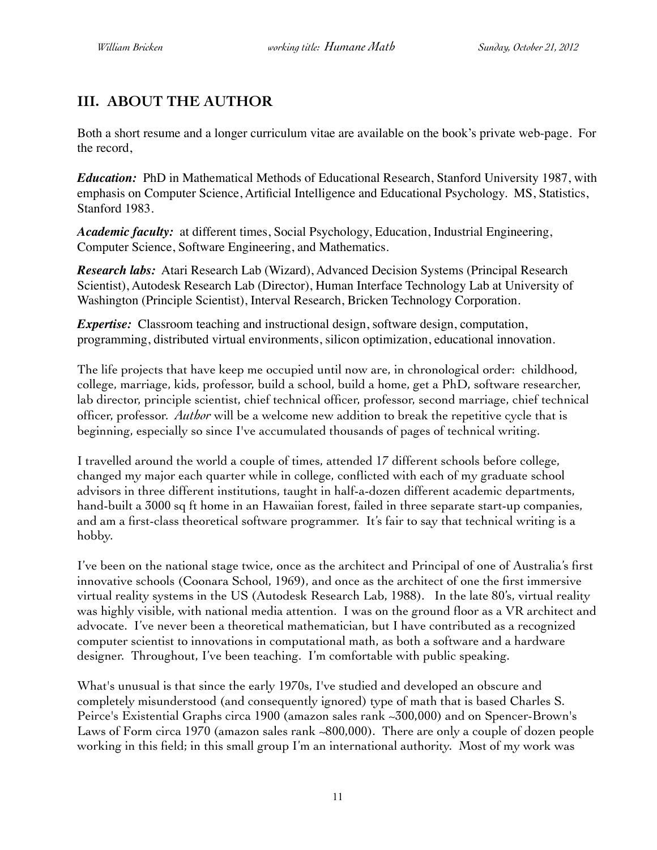# **III. ABOUT THE AUTHOR**

Both a short resume and a longer curriculum vitae are available on the book's private web-page. For the record,

*Education:* PhD in Mathematical Methods of Educational Research, Stanford University 1987, with emphasis on Computer Science, Artificial Intelligence and Educational Psychology. MS, Statistics, Stanford 1983.

*Academic faculty:* at different times, Social Psychology, Education, Industrial Engineering, Computer Science, Software Engineering, and Mathematics.

*Research labs:* Atari Research Lab (Wizard), Advanced Decision Systems (Principal Research Scientist), Autodesk Research Lab (Director), Human Interface Technology Lab at University of Washington (Principle Scientist), Interval Research, Bricken Technology Corporation.

*Expertise:* Classroom teaching and instructional design, software design, computation, programming, distributed virtual environments, silicon optimization, educational innovation.

The life projects that have keep me occupied until now are, in chronological order: childhood, college, marriage, kids, professor, build a school, build a home, get a PhD, software researcher, lab director, principle scientist, chief technical officer, professor, second marriage, chief technical officer, professor. *Author* will be a welcome new addition to break the repetitive cycle that is beginning, especially so since I've accumulated thousands of pages of technical writing.

I travelled around the world a couple of times, attended 17 different schools before college, changed my major each quarter while in college, conflicted with each of my graduate school advisors in three different institutions, taught in half-a-dozen different academic departments, hand-built a 3000 sq ft home in an Hawaiian forest, failed in three separate start-up companies, and am a first-class theoretical software programmer. It's fair to say that technical writing is a hobby.

I've been on the national stage twice, once as the architect and Principal of one of Australia's first innovative schools (Coonara School, 1969), and once as the architect of one the first immersive virtual reality systems in the US (Autodesk Research Lab, 1988). In the late 80's, virtual reality was highly visible, with national media attention. I was on the ground floor as a VR architect and advocate. I've never been a theoretical mathematician, but I have contributed as a recognized computer scientist to innovations in computational math, as both a software and a hardware designer. Throughout, I've been teaching. I'm comfortable with public speaking.

What's unusual is that since the early 1970s, I've studied and developed an obscure and completely misunderstood (and consequently ignored) type of math that is based Charles S. Peirce's Existential Graphs circa 1900 (amazon sales rank ~300,000) and on Spencer-Brown's Laws of Form circa 1970 (amazon sales rank ~800,000). There are only a couple of dozen people working in this field; in this small group I'm an international authority. Most of my work was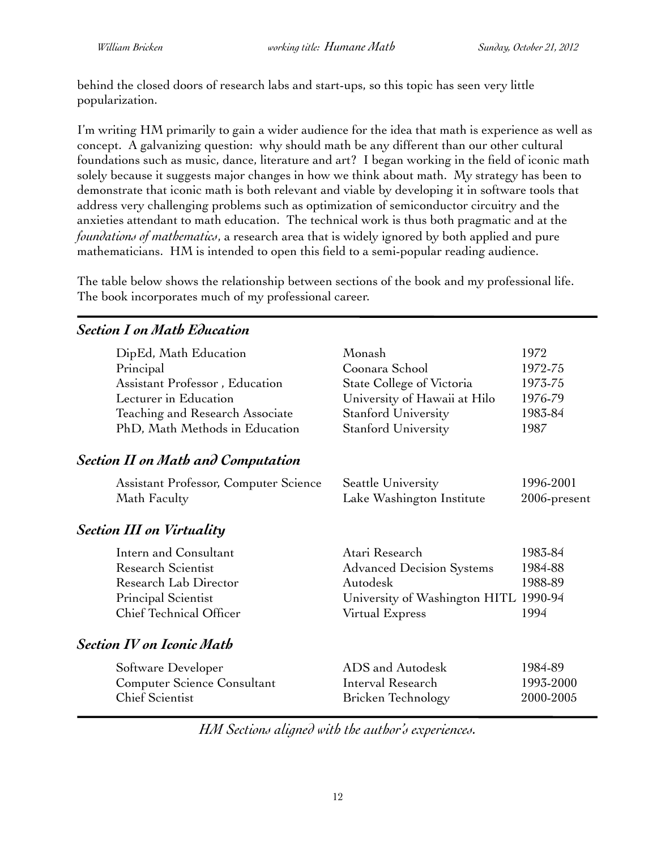behind the closed doors of research labs and start-ups, so this topic has seen very little popularization.

I'm writing HM primarily to gain a wider audience for the idea that math is experience as well as concept. A galvanizing question: why should math be any different than our other cultural foundations such as music, dance, literature and art? I began working in the field of iconic math solely because it suggests major changes in how we think about math. My strategy has been to demonstrate that iconic math is both relevant and viable by developing it in software tools that address very challenging problems such as optimization of semiconductor circuitry and the anxieties attendant to math education. The technical work is thus both pragmatic and at the *foundations of mathematics*, a research area that is widely ignored by both applied and pure mathematicians. HM is intended to open this field to a semi-popular reading audience.

The table below shows the relationship between sections of the book and my professional life. The book incorporates much of my professional career.

# DipEd, Math Education Monash 1972 Principal Coonara School 1972-75 Assistant Professor, Education State College of Victoria 1973-75 Lecturer in Education University of Hawaii at Hilo 1976-79 Teaching and Research Associate Stanford University 1983-84 PhD, Math Methods in Education Stanford University 1987 *Section II on Math and Computation* Assistant Professor, Computer Science Seattle University 1996-2001 Math Faculty **Math Faculty Lake Washington Institute** 2006-present *Section III on Virtuality* Intern and Consultant Atari Research 1983-84 Research Scientist **Advanced Decision Systems** 1984-88 Research Lab Director Autodesk 1988-89 Principal Scientist University of Washington HITL 1990-94 Chief Technical Officer Virtual Express 1994 *Section IV on Iconic Math* Software Developer ADS and Autodesk 1984-89 Computer Science Consultant Interval Research 1993-2000 Chief Scientist Bricken Technology 2000-2005

*Section I on Math Education*

*HM Sections aligned with the author's experiences.*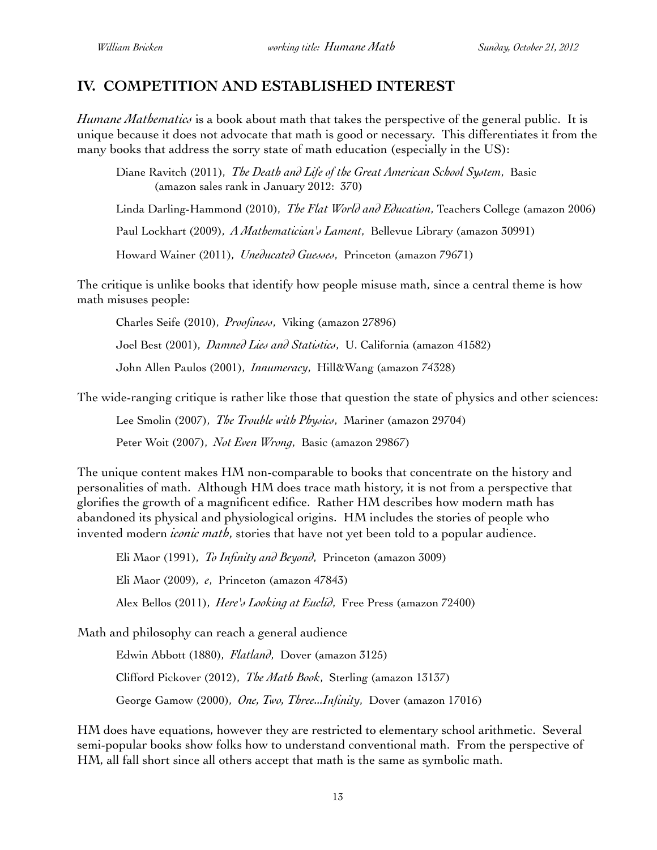### **IV. COMPETITION AND ESTABLISHED INTEREST**

*Humane Mathematics* is a book about math that takes the perspective of the general public. It is unique because it does not advocate that math is good or necessary. This differentiates it from the many books that address the sorry state of math education (especially in the US):

Diane Ravitch (2011), *The Death and Life of the Great American School System*, Basic (amazon sales rank in January 2012: 370)

Linda Darling-Hammond (2010), *The Flat World and Education*, Teachers College (amazon 2006)

Paul Lockhart (2009), *A Mathematician's Lament*, Bellevue Library (amazon 30991)

Howard Wainer (2011), *Uneducated Guesses*, Princeton (amazon 79671)

The critique is unlike books that identify how people misuse math, since a central theme is how math misuses people:

Charles Seife (2010), *Proofiness*, Viking (amazon 27896)

Joel Best (2001), *Damned Lies and Statistics*, U. California (amazon 41582)

John Allen Paulos (2001), *Innumeracy*, Hill&Wang (amazon 74328)

The wide-ranging critique is rather like those that question the state of physics and other sciences:

Lee Smolin (2007), *The Trouble with Physics*, Mariner (amazon 29704)

Peter Woit (2007), *Not Even Wrong*, Basic (amazon 29867)

The unique content makes HM non-comparable to books that concentrate on the history and personalities of math. Although HM does trace math history, it is not from a perspective that glorifies the growth of a magnificent edifice. Rather HM describes how modern math has abandoned its physical and physiological origins. HM includes the stories of people who invented modern *iconic math*, stories that have not yet been told to a popular audience.

Eli Maor (1991), *To Infinity and Beyond*, Princeton (amazon 3009) Eli Maor (2009), *e*, Princeton (amazon 47843) Alex Bellos (2011), *Here's Looking at Euclid*, Free Press (amazon 72400)

Math and philosophy can reach a general audience

Edwin Abbott (1880), *Flatland*, Dover (amazon 3125) Clifford Pickover (2012), *The Math Book*, Sterling (amazon 13137) George Gamow (2000), *One, Two, Three...Infinity*, Dover (amazon 17016)

HM does have equations, however they are restricted to elementary school arithmetic. Several semi-popular books show folks how to understand conventional math. From the perspective of HM, all fall short since all others accept that math is the same as symbolic math.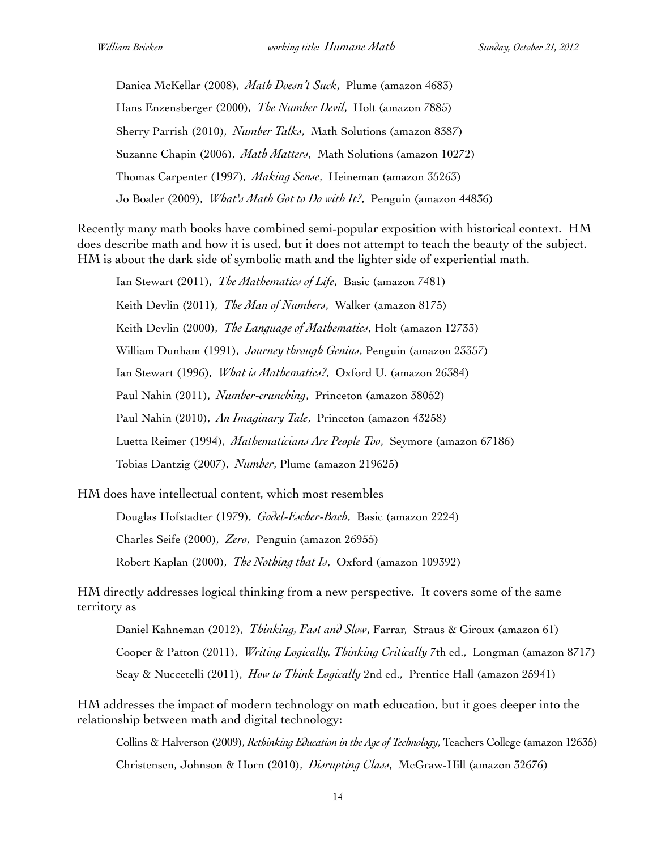Danica McKellar (2008), *Math Doesn't Suck*, Plume (amazon 4683) Hans Enzensberger (2000), *The Number Devil*, Holt (amazon 7885) Sherry Parrish (2010), *Number Talks*, Math Solutions (amazon 8387) Suzanne Chapin (2006), *Math Matters*, Math Solutions (amazon 10272) Thomas Carpenter (1997), *Making Sense*, Heineman (amazon 35263) Jo Boaler (2009), *What's Math Got to Do with It?*, Penguin (amazon 44836)

Recently many math books have combined semi-popular exposition with historical context. HM does describe math and how it is used, but it does not attempt to teach the beauty of the subject. HM is about the dark side of symbolic math and the lighter side of experiential math.

Ian Stewart (2011), *The Mathematics of Life*, Basic (amazon 7481) Keith Devlin (2011), *The Man of Numbers*, Walker (amazon 8175) Keith Devlin (2000), *The Language of Mathematics*, Holt (amazon 12733) William Dunham (1991), *Journey through Genius*, Penguin (amazon 23357) Ian Stewart (1996), *What is Mathematics?*, Oxford U. (amazon 26384) Paul Nahin (2011), *Number-crunching*, Princeton (amazon 38052) Paul Nahin (2010), *An Imaginary Tale*, Princeton (amazon 43258) Luetta Reimer (1994), *Mathematicians Are People Too*, Seymore (amazon 67186) Tobias Dantzig (2007), *Number*, Plume (amazon 219625)

HM does have intellectual content, which most resembles

Douglas Hofstadter (1979), *Godel-Escher-Bach*, Basic (amazon 2224) Charles Seife (2000), *Zero*, Penguin (amazon 26955) Robert Kaplan (2000), *The Nothing that Is*, Oxford (amazon 109392)

HM directly addresses logical thinking from a new perspective. It covers some of the same territory as

Daniel Kahneman (2012), *Thinking, Fast and Slow*, Farrar, Straus & Giroux (amazon 61) Cooper & Patton (2011), *Writing Logically, Thinking Critically* 7th ed., Longman (amazon 8717) Seay & Nuccetelli (2011), *How to Think Logically* 2nd ed., Prentice Hall (amazon 25941)

HM addresses the impact of modern technology on math education, but it goes deeper into the relationship between math and digital technology:

Collins & Halverson (2009), *Rethinking Education in the Age of Technology*, Teachers College (amazon 12635) Christensen, Johnson & Horn (2010), *Disrupting Class*, McGraw-Hill (amazon 32676)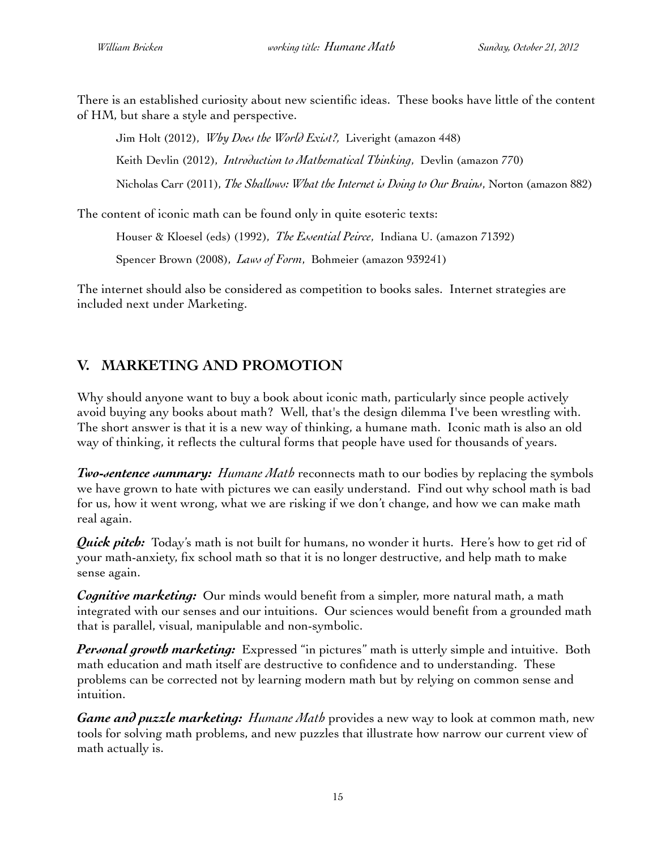There is an established curiosity about new scientific ideas. These books have little of the content of HM, but share a style and perspective.

Jim Holt (2012), *Why Does the World Exist?,* Liveright (amazon 448) Keith Devlin (2012), *Introduction to Mathematical Thinking*, Devlin (amazon 770) Nicholas Carr (2011), *The Shallows: What the Internet is Doing to Our Brains*, Norton (amazon 882)

The content of iconic math can be found only in quite esoteric texts:

Houser & Kloesel (eds) (1992), *The Essential Peirce*, Indiana U. (amazon 71392)

Spencer Brown (2008), *Laws of Form*, Bohmeier (amazon 939241)

The internet should also be considered as competition to books sales. Internet strategies are included next under Marketing.

# **V. MARKETING AND PROMOTION**

Why should anyone want to buy a book about iconic math, particularly since people actively avoid buying any books about math? Well, that's the design dilemma I've been wrestling with. The short answer is that it is a new way of thinking, a humane math. Iconic math is also an old way of thinking, it reflects the cultural forms that people have used for thousands of years.

*Two-sentence summary: Humane Math* reconnects math to our bodies by replacing the symbols we have grown to hate with pictures we can easily understand. Find out why school math is bad for us, how it went wrong, what we are risking if we don't change, and how we can make math real again.

*Quick pitch:* Today's math is not built for humans, no wonder it hurts. Here's how to get rid of your math-anxiety, fix school math so that it is no longer destructive, and help math to make sense again.

*Cognitive marketing:* Our minds would benefit from a simpler, more natural math, a math integrated with our senses and our intuitions. Our sciences would benefit from a grounded math that is parallel, visual, manipulable and non-symbolic.

*Personal growth marketing:* Expressed "in pictures" math is utterly simple and intuitive. Both math education and math itself are destructive to confidence and to understanding. These problems can be corrected not by learning modern math but by relying on common sense and intuition.

*Game and puzzle marketing: Humane Math* provides a new way to look at common math, new tools for solving math problems, and new puzzles that illustrate how narrow our current view of math actually is.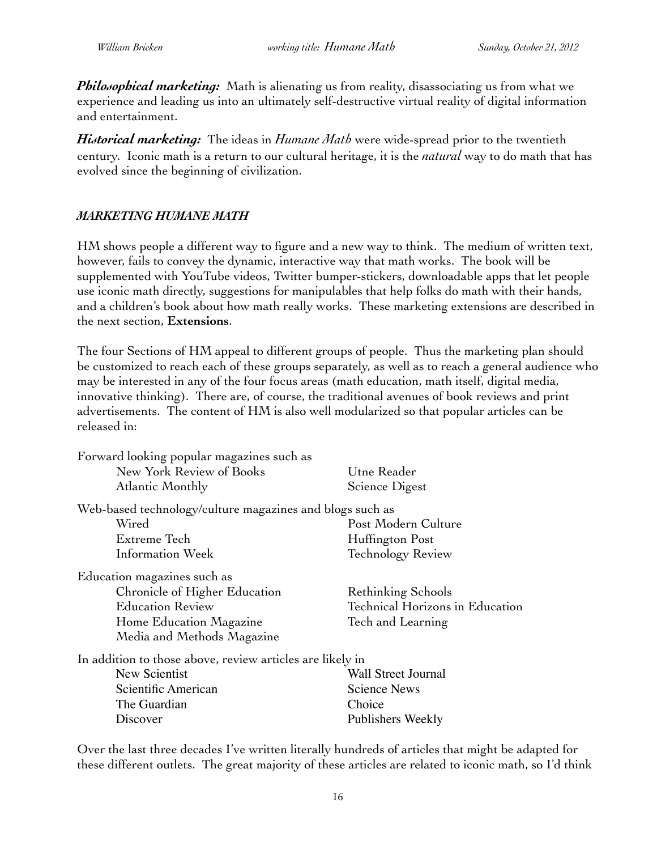*Philosophical marketing:* Math is alienating us from reality, disassociating us from what we experience and leading us into an ultimately self-destructive virtual reality of digital information and entertainment.

*Historical marketing:* The ideas in *Humane Math* were wide-spread prior to the twentieth century. Iconic math is a return to our cultural heritage, it is the *natural* way to do math that has evolved since the beginning of civilization.

### *MARKETING HUMANE MATH*

HM shows people a different way to figure and a new way to think. The medium of written text, however, fails to convey the dynamic, interactive way that math works. The book will be supplemented with YouTube videos, Twitter bumper-stickers, downloadable apps that let people use iconic math directly, suggestions for manipulables that help folks do math with their hands, and a children's book about how math really works. These marketing extensions are described in the next section, **Extensions**.

The four Sections of HM appeal to different groups of people. Thus the marketing plan should be customized to reach each of these groups separately, as well as to reach a general audience who may be interested in any of the four focus areas (math education, math itself, digital media, innovative thinking). There are, of course, the traditional avenues of book reviews and print advertisements. The content of HM is also well modularized so that popular articles can be released in:

| Forward looking popular magazines such as                 |                                 |  |  |  |  |
|-----------------------------------------------------------|---------------------------------|--|--|--|--|
| New York Review of Books                                  | Utne Reader                     |  |  |  |  |
| Atlantic Monthly                                          | Science Digest                  |  |  |  |  |
| Web-based technology/culture magazines and blogs such as  |                                 |  |  |  |  |
| Wired                                                     | Post Modern Culture             |  |  |  |  |
| Extreme Tech                                              | Huffington Post                 |  |  |  |  |
| Information Week                                          | <b>Technology Review</b>        |  |  |  |  |
| Education magazines such as                               |                                 |  |  |  |  |
| Chronicle of Higher Education                             | Rethinking Schools              |  |  |  |  |
| <b>Education Review</b>                                   | Technical Horizons in Education |  |  |  |  |
| Home Education Magazine                                   | Tech and Learning               |  |  |  |  |
| Media and Methods Magazine                                |                                 |  |  |  |  |
| In addition to those above, review articles are likely in |                                 |  |  |  |  |
| New Scientist                                             | <b>Wall Street Journal</b>      |  |  |  |  |
| Scientific American                                       | <b>Science News</b>             |  |  |  |  |
| The Guardian                                              | Choice                          |  |  |  |  |
| Discover                                                  | Publishers Weekly               |  |  |  |  |

Over the last three decades I've written literally hundreds of articles that might be adapted for these different outlets. The great majority of these articles are related to iconic math, so I'd think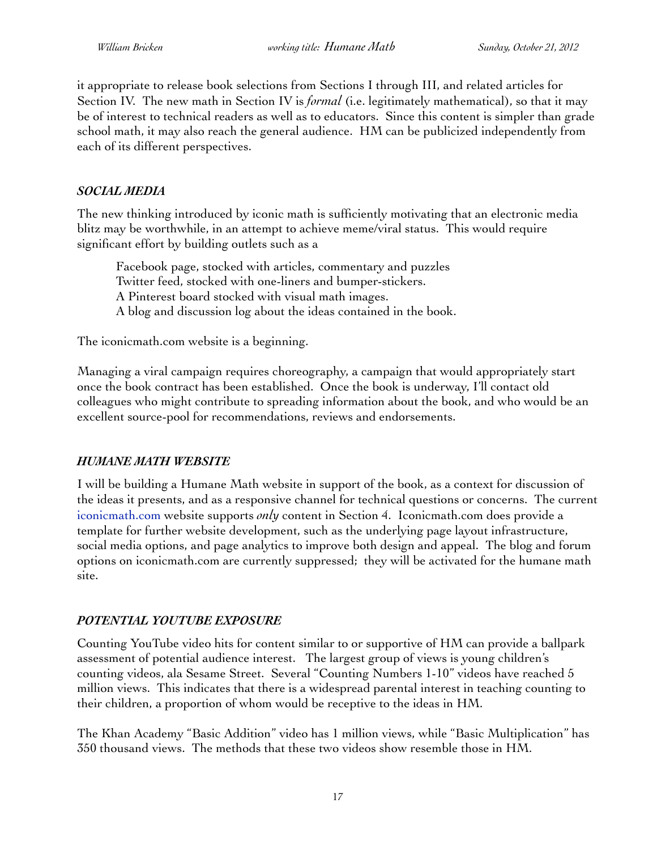it appropriate to release book selections from Sections I through III, and related articles for Section IV. The new math in Section IV is *formal* (i.e. legitimately mathematical), so that it may be of interest to technical readers as well as to educators. Since this content is simpler than grade school math, it may also reach the general audience. HM can be publicized independently from each of its different perspectives.

### *SOCIAL MEDIA*

The new thinking introduced by iconic math is sufficiently motivating that an electronic media blitz may be worthwhile, in an attempt to achieve meme/viral status. This would require significant effort by building outlets such as a

Facebook page, stocked with articles, commentary and puzzles Twitter feed, stocked with one-liners and bumper-stickers. A Pinterest board stocked with visual math images. A blog and discussion log about the ideas contained in the book.

The iconicmath.com website is a beginning.

Managing a viral campaign requires choreography, a campaign that would appropriately start once the book contract has been established. Once the book is underway, I'll contact old colleagues who might contribute to spreading information about the book, and who would be an excellent source-pool for recommendations, reviews and endorsements.

### *HUMANE MATH WEBSITE*

I will be building a Humane Math website in support of the book, as a context for discussion of the ideas it presents, and as a responsive channel for technical questions or concerns. The current [iconicmath.com](http://iconicmath.com/) website supports *only* content in Section 4. Iconicmath.com does provide a template for further website development, such as the underlying page layout infrastructure, social media options, and page analytics to improve both design and appeal. The blog and forum options on iconicmath.com are currently suppressed; they will be activated for the humane math site.

### *POTENTIAL YOUTUBE EXPOSURE*

Counting YouTube video hits for content similar to or supportive of HM can provide a ballpark assessment of potential audience interest. The largest group of views is young children's counting videos, ala Sesame Street. Several "Counting Numbers 1-10" videos have reached 5 million views. This indicates that there is a widespread parental interest in teaching counting to their children, a proportion of whom would be receptive to the ideas in HM.

The Khan Academy "Basic Addition" video has 1 million views, while "Basic Multiplication" has 350 thousand views. The methods that these two videos show resemble those in HM.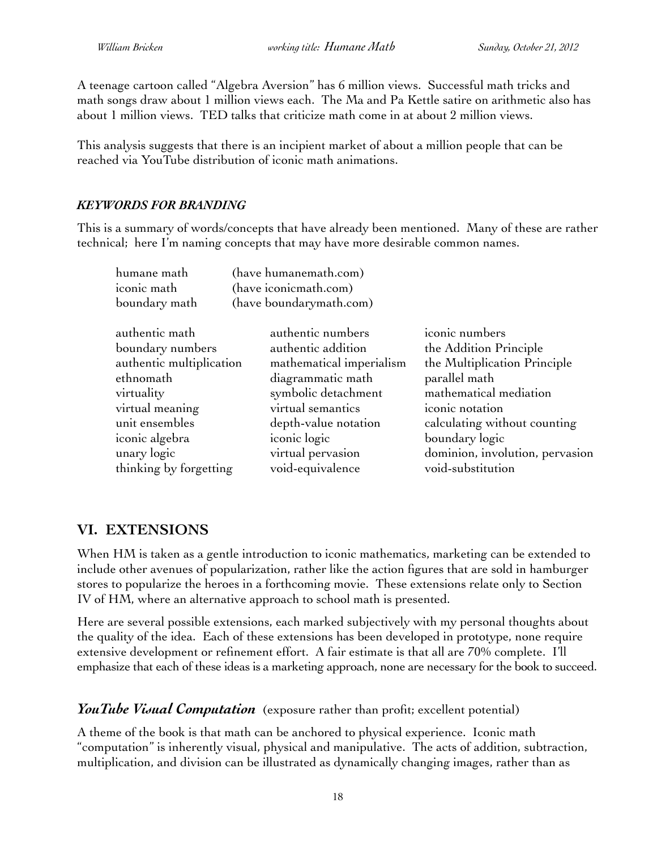A teenage cartoon called "Algebra Aversion" has 6 million views. Successful math tricks and math songs draw about 1 million views each. The Ma and Pa Kettle satire on arithmetic also has about 1 million views. TED talks that criticize math come in at about 2 million views.

This analysis suggests that there is an incipient market of about a million people that can be reached via YouTube distribution of iconic math animations.

### *KEYWORDS FOR BRANDING*

This is a summary of words/concepts that have already been mentioned. Many of these are rather technical; here I'm naming concepts that may have more desirable common names.

| humane math              |                         | (have humanemath.com)    |                                 |  |
|--------------------------|-------------------------|--------------------------|---------------------------------|--|
| iconic math              | (have iconicmath.com)   |                          |                                 |  |
| boundary math            | (have boundarymath.com) |                          |                                 |  |
| authentic math           | authentic numbers       |                          | iconic numbers                  |  |
| boundary numbers         | authentic addition      |                          | the Addition Principle          |  |
| authentic multiplication |                         | mathematical imperialism | the Multiplication Principle    |  |
| ethnomath                | diagrammatic math       |                          | parallel math                   |  |
| virtuality               | symbolic detachment     |                          | mathematical mediation          |  |
| virtual meaning          | virtual semantics       |                          | iconic notation                 |  |
| unit ensembles           | depth-value notation    |                          | calculating without counting    |  |
| iconic algebra           | iconic logic            |                          | boundary logic                  |  |
| unary logic              | virtual pervasion       |                          | dominion, involution, pervasion |  |
| thinking by forgetting   | void-equivalence        |                          | void-substitution               |  |

# **VI. EXTENSIONS**

When HM is taken as a gentle introduction to iconic mathematics, marketing can be extended to include other avenues of popularization, rather like the action figures that are sold in hamburger stores to popularize the heroes in a forthcoming movie. These extensions relate only to Section IV of HM, where an alternative approach to school math is presented.

Here are several possible extensions, each marked subjectively with my personal thoughts about the quality of the idea. Each of these extensions has been developed in prototype, none require extensive development or refinement effort. A fair estimate is that all are 70% complete. I'll emphasize that each of these ideas is a marketing approach, none are necessary for the book to succeed.

### *YouTube Visual Computation* (exposure rather than profit; excellent potential)

A theme of the book is that math can be anchored to physical experience. Iconic math "computation" is inherently visual, physical and manipulative. The acts of addition, subtraction, multiplication, and division can be illustrated as dynamically changing images, rather than as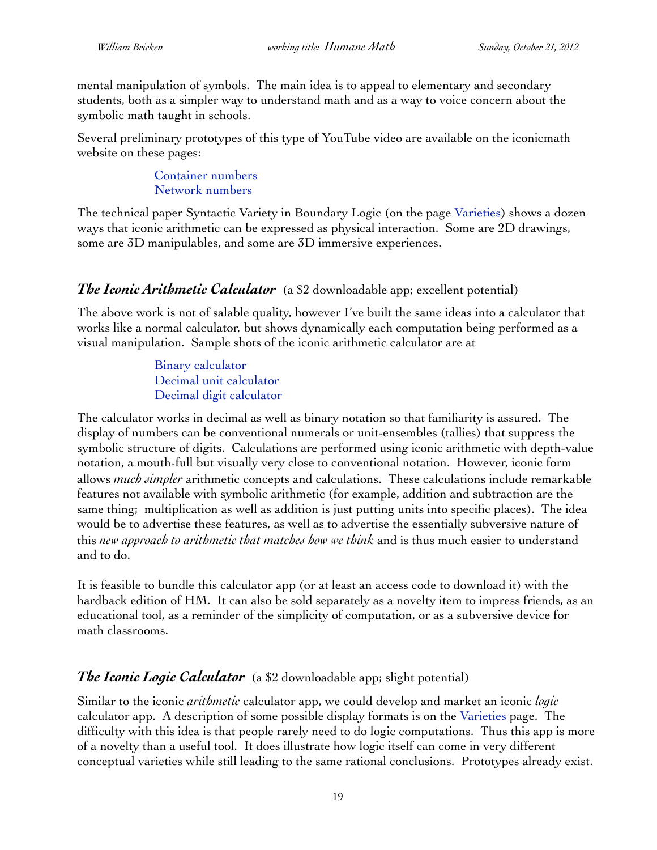mental manipulation of symbols. The main idea is to appeal to elementary and secondary students, both as a simpler way to understand math and as a way to voice concern about the symbolic math taught in schools.

Several preliminary prototypes of this type of YouTube video are available on the iconicmath website on these pages:

> [Container numbers](http://iconicmath.com/arithmetic/containers) [Network numbers](http://iconicmath.com/arithmetic/networks)

The technical paper Syntactic Variety in Boundary Logic (on the page [Varieties\)](http://iconicmath.com/introduction/varieties) shows a dozen ways that iconic arithmetic can be expressed as physical interaction. Some are 2D drawings, some are 3D manipulables, and some are 3D immersive experiences.

## *The Iconic Arithmetic Calculator* (a \$2 downloadable app; excellent potential)

The above work is not of salable quality, however I've built the same ideas into a calculator that works like a normal calculator, but shows dynamically each computation being performed as a visual manipulation. Sample shots of the iconic arithmetic calculator are at

> [Binary calculator](http://iconicmath.com/calculator/binary) [Decimal unit calculator](http://iconicmath.com/calculator/decimalunits) [Decimal digit calculator](http://iconicmath.com/calculator/digit)

The calculator works in decimal as well as binary notation so that familiarity is assured. The display of numbers can be conventional numerals or unit-ensembles (tallies) that suppress the symbolic structure of digits. Calculations are performed using iconic arithmetic with depth-value notation, a mouth-full but visually very close to conventional notation. However, iconic form allows *much simpler* arithmetic concepts and calculations. These calculations include remarkable features not available with symbolic arithmetic (for example, addition and subtraction are the same thing; multiplication as well as addition is just putting units into specific places). The idea would be to advertise these features, as well as to advertise the essentially subversive nature of this *new approach to arithmetic that matches how we think* and is thus much easier to understand and to do.

It is feasible to bundle this calculator app (or at least an access code to download it) with the hardback edition of HM. It can also be sold separately as a novelty item to impress friends, as an educational tool, as a reminder of the simplicity of computation, or as a subversive device for math classrooms.

# *The Iconic Logic Calculator* (a \$2 downloadable app; slight potential)

Similar to the iconic *arithmetic* calculator app, we could develop and market an iconic *logic* calculator app. A description of some possible display formats is on the [Varieties](http://iconicmath.com/introduction/varieties) page. The difficulty with this idea is that people rarely need to do logic computations. Thus this app is more of a novelty than a useful tool. It does illustrate how logic itself can come in very different conceptual varieties while still leading to the same rational conclusions. Prototypes already exist.